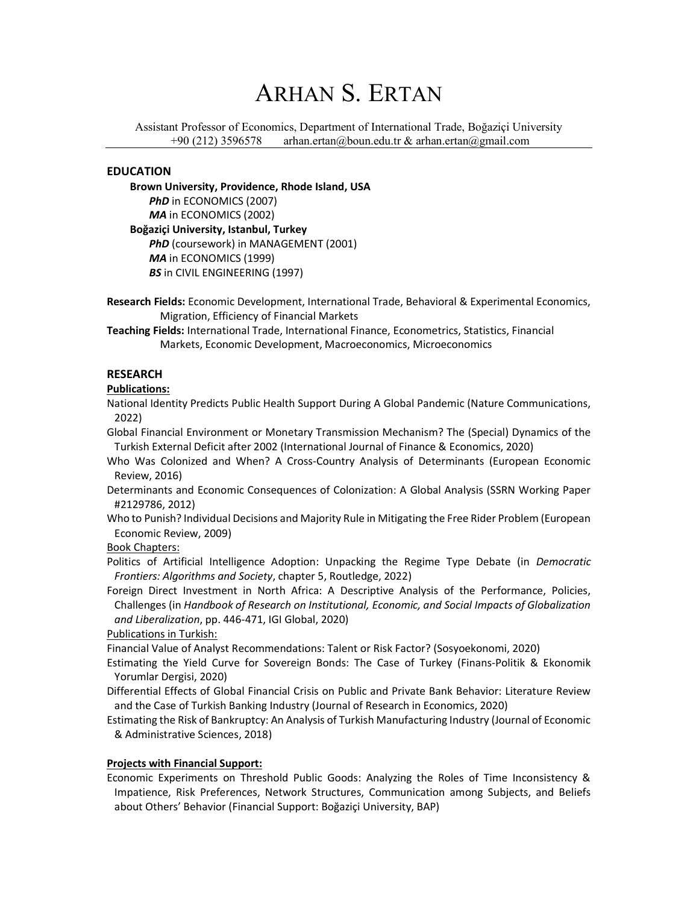Assistant Professor of Economics, Department of International Trade, Boğaziçi University +90 (212) 3596578 arhan.ertan@boun.edu.tr & arhan.ertan@gmail.com

### EDUCATION

Brown University, Providence, Rhode Island, USA PhD in ECONOMICS (2007) MA in ECONOMICS (2002) Boğaziçi University, Istanbul, Turkey PhD (coursework) in MANAGEMENT (2001) MA in ECONOMICS (1999) **BS** in CIVIL ENGINEERING (1997)

Research Fields: Economic Development, International Trade, Behavioral & Experimental Economics, Migration, Efficiency of Financial Markets

Teaching Fields: International Trade, International Finance, Econometrics, Statistics, Financial Markets, Economic Development, Macroeconomics, Microeconomics

## RESEARCH

### Publications:

National Identity Predicts Public Health Support During A Global Pandemic (Nature Communications, 2022)

Global Financial Environment or Monetary Transmission Mechanism? The (Special) Dynamics of the Turkish External Deficit after 2002 (International Journal of Finance & Economics, 2020)

Who Was Colonized and When? A Cross-Country Analysis of Determinants (European Economic Review, 2016)

Determinants and Economic Consequences of Colonization: A Global Analysis (SSRN Working Paper #2129786, 2012)

Who to Punish? Individual Decisions and Majority Rule in Mitigating the Free Rider Problem (European Economic Review, 2009)

Book Chapters:

Politics of Artificial Intelligence Adoption: Unpacking the Regime Type Debate (in Democratic Frontiers: Algorithms and Society, chapter 5, Routledge, 2022)

Foreign Direct Investment in North Africa: A Descriptive Analysis of the Performance, Policies, Challenges (in Handbook of Research on Institutional, Economic, and Social Impacts of Globalization and Liberalization, pp. 446-471, IGI Global, 2020)

Publications in Turkish:

Financial Value of Analyst Recommendations: Talent or Risk Factor? (Sosyoekonomi, 2020)

Estimating the Yield Curve for Sovereign Bonds: The Case of Turkey (Finans-Politik & Ekonomik Yorumlar Dergisi, 2020)

Differential Effects of Global Financial Crisis on Public and Private Bank Behavior: Literature Review and the Case of Turkish Banking Industry (Journal of Research in Economics, 2020)

Estimating the Risk of Bankruptcy: An Analysis of Turkish Manufacturing Industry (Journal of Economic & Administrative Sciences, 2018)

#### Projects with Financial Support:

Economic Experiments on Threshold Public Goods: Analyzing the Roles of Time Inconsistency & Impatience, Risk Preferences, Network Structures, Communication among Subjects, and Beliefs about Others' Behavior (Financial Support: Boğaziçi University, BAP)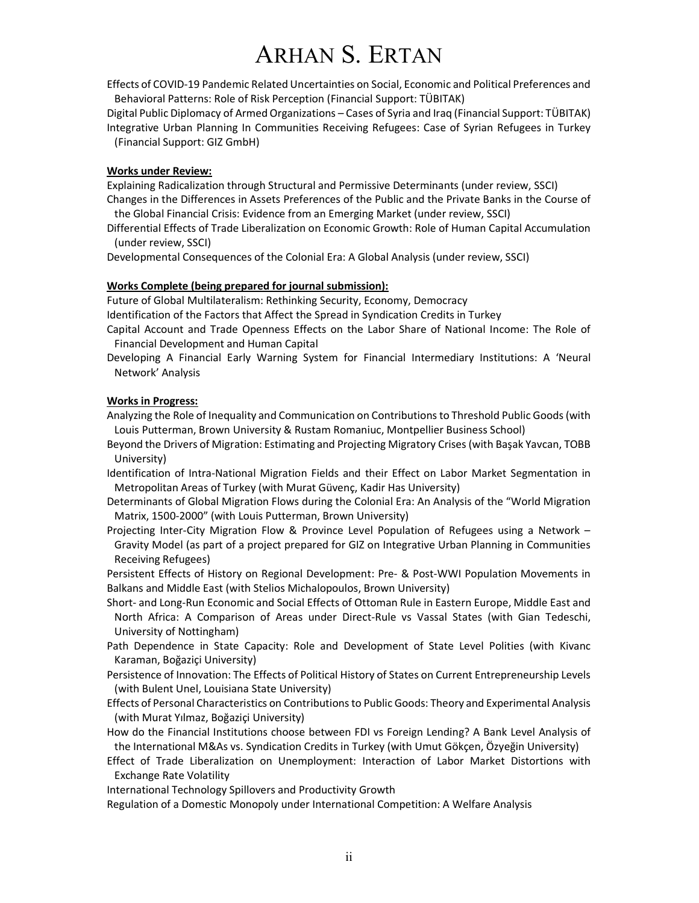Effects of COVID-19 Pandemic Related Uncertainties on Social, Economic and Political Preferences and Behavioral Patterns: Role of Risk Perception (Financial Support: TÜBITAK)

Digital Public Diplomacy of Armed Organizations – Cases of Syria and Iraq (Financial Support: TÜBITAK) Integrative Urban Planning In Communities Receiving Refugees: Case of Syrian Refugees in Turkey (Financial Support: GIZ GmbH)

#### Works under Review:

Explaining Radicalization through Structural and Permissive Determinants (under review, SSCI) Changes in the Differences in Assets Preferences of the Public and the Private Banks in the Course of

- the Global Financial Crisis: Evidence from an Emerging Market (under review, SSCI)
- Differential Effects of Trade Liberalization on Economic Growth: Role of Human Capital Accumulation (under review, SSCI)

Developmental Consequences of the Colonial Era: A Global Analysis (under review, SSCI)

#### Works Complete (being prepared for journal submission):

Future of Global Multilateralism: Rethinking Security, Economy, Democracy

Identification of the Factors that Affect the Spread in Syndication Credits in Turkey

- Capital Account and Trade Openness Effects on the Labor Share of National Income: The Role of Financial Development and Human Capital
- Developing A Financial Early Warning System for Financial Intermediary Institutions: A 'Neural Network' Analysis

#### Works in Progress:

- Analyzing the Role of Inequality and Communication on Contributions to Threshold Public Goods (with Louis Putterman, Brown University & Rustam Romaniuc, Montpellier Business School)
- Beyond the Drivers of Migration: Estimating and Projecting Migratory Crises (with Başak Yavcan, TOBB University)
- Identification of Intra-National Migration Fields and their Effect on Labor Market Segmentation in Metropolitan Areas of Turkey (with Murat Güvenç, Kadir Has University)
- Determinants of Global Migration Flows during the Colonial Era: An Analysis of the "World Migration Matrix, 1500-2000" (with Louis Putterman, Brown University)
- Projecting Inter-City Migration Flow & Province Level Population of Refugees using a Network Gravity Model (as part of a project prepared for GIZ on Integrative Urban Planning in Communities Receiving Refugees)

Persistent Effects of History on Regional Development: Pre- & Post-WWI Population Movements in Balkans and Middle East (with Stelios Michalopoulos, Brown University)

- Short- and Long-Run Economic and Social Effects of Ottoman Rule in Eastern Europe, Middle East and North Africa: A Comparison of Areas under Direct-Rule vs Vassal States (with Gian Tedeschi, University of Nottingham)
- Path Dependence in State Capacity: Role and Development of State Level Polities (with Kivanc Karaman, Boğaziçi University)
- Persistence of Innovation: The Effects of Political History of States on Current Entrepreneurship Levels (with Bulent Unel, Louisiana State University)
- Effects of Personal Characteristics on Contributions to Public Goods: Theory and Experimental Analysis (with Murat Yılmaz, Boğaziçi University)
- How do the Financial Institutions choose between FDI vs Foreign Lending? A Bank Level Analysis of the International M&As vs. Syndication Credits in Turkey (with Umut Gökçen, Özyeğin University)
- Effect of Trade Liberalization on Unemployment: Interaction of Labor Market Distortions with Exchange Rate Volatility

International Technology Spillovers and Productivity Growth

Regulation of a Domestic Monopoly under International Competition: A Welfare Analysis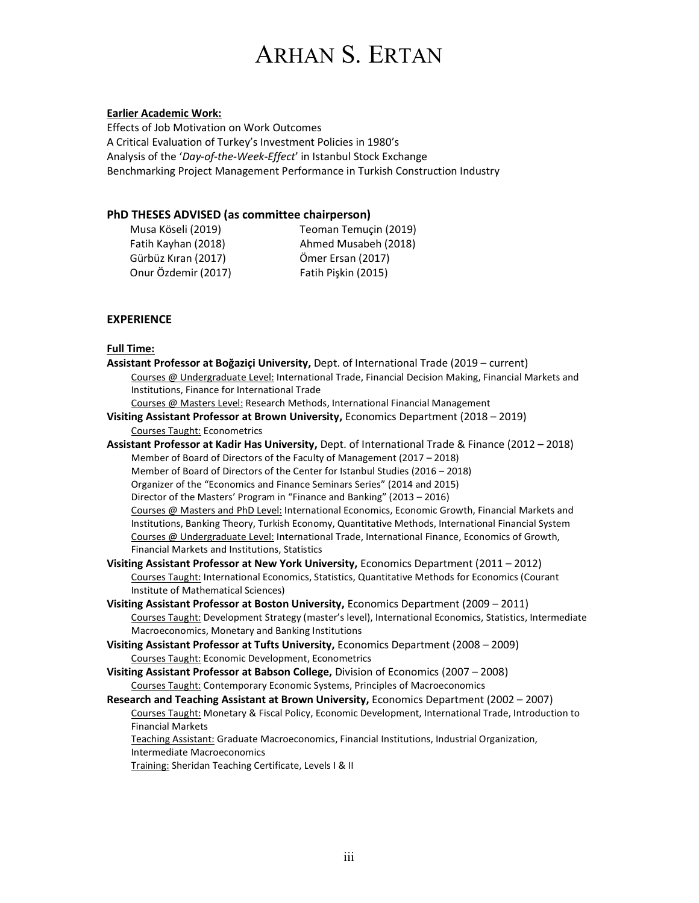## Earlier Academic Work:

Effects of Job Motivation on Work Outcomes A Critical Evaluation of Turkey's Investment Policies in 1980's Analysis of the 'Day-of-the-Week-Effect' in Istanbul Stock Exchange Benchmarking Project Management Performance in Turkish Construction Industry

## PhD THESES ADVISED (as committee chairperson)

Gürbüz Kıran (2017) Ömer Ersan (2017) Onur Özdemir (2017) Fatih Pişkin (2015)

Musa Köseli (2019) Teoman Temuçin (2019) Fatih Kayhan (2018) Ahmed Musabeh (2018)

## **EXPERIENCE**

## Full Time:

| .                                                                                                        |
|----------------------------------------------------------------------------------------------------------|
| Assistant Professor at Boğaziçi University, Dept. of International Trade (2019 - current)                |
| Courses @ Undergraduate Level: International Trade, Financial Decision Making, Financial Markets and     |
| Institutions, Finance for International Trade                                                            |
| Courses @ Masters Level: Research Methods, International Financial Management                            |
| Visiting Assistant Professor at Brown University, Economics Department (2018 - 2019)                     |
| <b>Courses Taught: Econometrics</b>                                                                      |
| Assistant Professor at Kadir Has University, Dept. of International Trade & Finance (2012 - 2018)        |
| Member of Board of Directors of the Faculty of Management (2017 - 2018)                                  |
| Member of Board of Directors of the Center for Istanbul Studies (2016 - 2018)                            |
| Organizer of the "Economics and Finance Seminars Series" (2014 and 2015)                                 |
| Director of the Masters' Program in "Finance and Banking" (2013 - 2016)                                  |
| Courses @ Masters and PhD Level: International Economics, Economic Growth, Financial Markets and         |
| Institutions, Banking Theory, Turkish Economy, Quantitative Methods, International Financial System      |
| Courses @ Undergraduate Level: International Trade, International Finance, Economics of Growth,          |
| Financial Markets and Institutions, Statistics                                                           |
| Visiting Assistant Professor at New York University, Economics Department (2011 - 2012)                  |
| Courses Taught: International Economics, Statistics, Quantitative Methods for Economics (Courant         |
| Institute of Mathematical Sciences)                                                                      |
| Visiting Assistant Professor at Boston University, Economics Department (2009 - 2011)                    |
| Courses Taught: Development Strategy (master's level), International Economics, Statistics, Intermediate |
| Macroeconomics, Monetary and Banking Institutions                                                        |
| Visiting Assistant Professor at Tufts University, Economics Department (2008 - 2009)                     |
| Courses Taught: Economic Development, Econometrics                                                       |
| Visiting Assistant Professor at Babson College, Division of Economics (2007 - 2008)                      |
| Courses Taught: Contemporary Economic Systems, Principles of Macroeconomics                              |
| Research and Teaching Assistant at Brown University, Economics Department (2002 - 2007)                  |
| Courses Taught: Monetary & Fiscal Policy, Economic Development, International Trade, Introduction to     |
| <b>Financial Markets</b>                                                                                 |
| Teaching Assistant: Graduate Macroeconomics, Financial Institutions, Industrial Organization,            |
| Intermediate Macroeconomics                                                                              |
| Training: Sheridan Teaching Certificate, Levels I & II                                                   |
|                                                                                                          |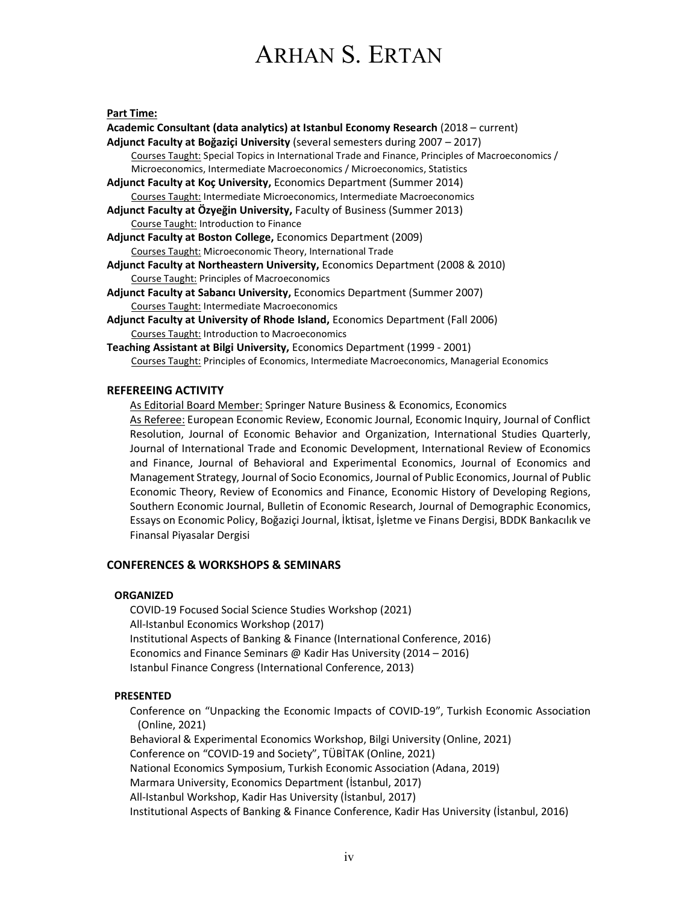#### Part Time:

| Academic Consultant (data analytics) at Istanbul Economy Research (2018 – current)                |
|---------------------------------------------------------------------------------------------------|
| Adjunct Faculty at Boğaziçi University (several semesters during 2007 - 2017)                     |
| Courses Taught: Special Topics in International Trade and Finance, Principles of Macroeconomics / |
| Microeconomics, Intermediate Macroeconomics / Microeconomics, Statistics                          |
| Adjunct Faculty at Koc University, Economics Department (Summer 2014)                             |
| <b>Courses Taught: Intermediate Microeconomics, Intermediate Macroeconomics</b>                   |
| Adjunct Faculty at Özyeğin University, Faculty of Business (Summer 2013)                          |
| Course Taught: Introduction to Finance                                                            |
| <b>Adjunct Faculty at Boston College, Economics Department (2009)</b>                             |
| Courses Taught: Microeconomic Theory, International Trade                                         |
| Adjunct Faculty at Northeastern University, Economics Department (2008 & 2010)                    |
| <b>Course Taught: Principles of Macroeconomics</b>                                                |
| <b>Adjunct Faculty at Sabanci University, Economics Department (Summer 2007)</b>                  |
| Courses Taught: Intermediate Macroeconomics                                                       |
| Adjunct Faculty at University of Rhode Island, Economics Department (Fall 2006)                   |
| <b>Courses Taught: Introduction to Macroeconomics</b>                                             |
| Teaching Assistant at Bilgi University, Economics Department (1999 - 2001)                        |
| Courses Taught: Principles of Economics, Intermediate Macroeconomics, Managerial Economics        |

#### REFEREEING ACTIVITY

As Editorial Board Member: Springer Nature Business & Economics, Economics As Referee: European Economic Review, Economic Journal, Economic Inquiry, Journal of Conflict Resolution, Journal of Economic Behavior and Organization, International Studies Quarterly, Journal of International Trade and Economic Development, International Review of Economics and Finance, Journal of Behavioral and Experimental Economics, Journal of Economics and Management Strategy, Journal of Socio Economics, Journal of Public Economics, Journal of Public Economic Theory, Review of Economics and Finance, Economic History of Developing Regions, Southern Economic Journal, Bulletin of Economic Research, Journal of Demographic Economics, Essays on Economic Policy, Boğaziçi Journal, İktisat, İşletme ve Finans Dergisi, BDDK Bankacılık ve Finansal Piyasalar Dergisi

## CONFERENCES & WORKSHOPS & SEMINARS

#### **ORGANIZED**

COVID-19 Focused Social Science Studies Workshop (2021) All-Istanbul Economics Workshop (2017) Institutional Aspects of Banking & Finance (International Conference, 2016) Economics and Finance Seminars @ Kadir Has University (2014 – 2016) Istanbul Finance Congress (International Conference, 2013)

#### PRESENTED

Conference on "Unpacking the Economic Impacts of COVID-19", Turkish Economic Association (Online, 2021) Behavioral & Experimental Economics Workshop, Bilgi University (Online, 2021) Conference on "COVID-19 and Society", TÜBİTAK (Online, 2021) National Economics Symposium, Turkish Economic Association (Adana, 2019) Marmara University, Economics Department (İstanbul, 2017) All-Istanbul Workshop, Kadir Has University (İstanbul, 2017) Institutional Aspects of Banking & Finance Conference, Kadir Has University (İstanbul, 2016)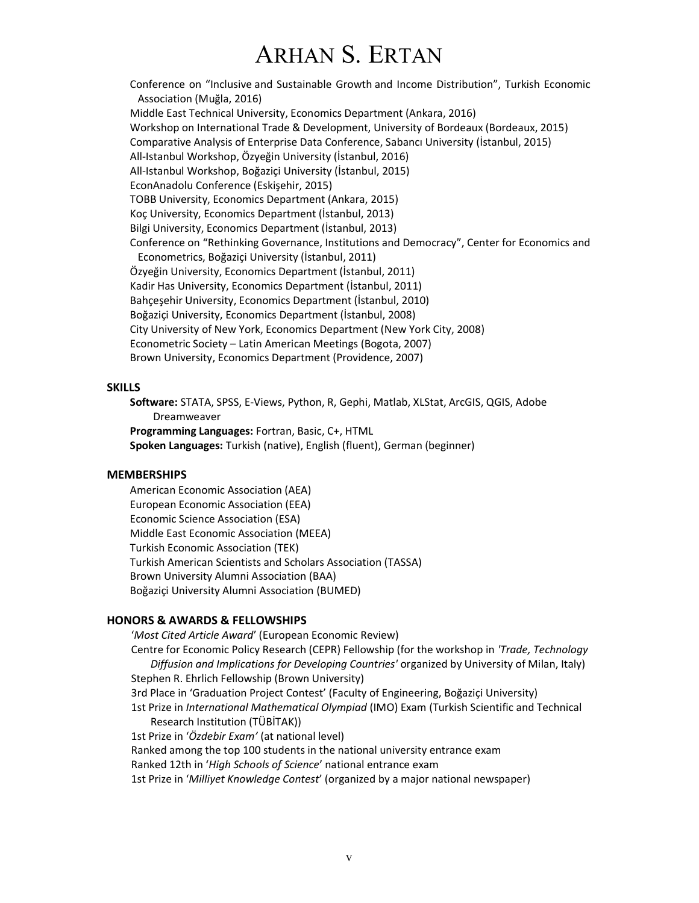Conference on "Inclusive and Sustainable Growth and Income Distribution", Turkish Economic Association (Muğla, 2016) Middle East Technical University, Economics Department (Ankara, 2016) Workshop on International Trade & Development, University of Bordeaux (Bordeaux, 2015) Comparative Analysis of Enterprise Data Conference, Sabancı University (İstanbul, 2015) All-Istanbul Workshop, Özyeğin University (İstanbul, 2016) All-Istanbul Workshop, Boğaziçi University (İstanbul, 2015) EconAnadolu Conference (Eskişehir, 2015) TOBB University, Economics Department (Ankara, 2015) Koç University, Economics Department (İstanbul, 2013) Bilgi University, Economics Department (İstanbul, 2013) Conference on "Rethinking Governance, Institutions and Democracy", Center for Economics and Econometrics, Boğaziçi University (İstanbul, 2011) Özyeğin University, Economics Department (İstanbul, 2011) Kadir Has University, Economics Department (İstanbul, 2011) Bahçeşehir University, Economics Department (İstanbul, 2010) Boğaziçi University, Economics Department (İstanbul, 2008) City University of New York, Economics Department (New York City, 2008) Econometric Society – Latin American Meetings (Bogota, 2007) Brown University, Economics Department (Providence, 2007)

#### **SKILLS**

Software: STATA, SPSS, E-Views, Python, R, Gephi, Matlab, XLStat, ArcGIS, QGIS, Adobe Dreamweaver Programming Languages: Fortran, Basic, C+, HTML Spoken Languages: Turkish (native), English (fluent), German (beginner)

#### **MEMBERSHIPS**

American Economic Association (AEA) European Economic Association (EEA) Economic Science Association (ESA) Middle East Economic Association (MEEA) Turkish Economic Association (TEK) Turkish American Scientists and Scholars Association (TASSA) Brown University Alumni Association (BAA) Boğaziçi University Alumni Association (BUMED)

#### HONORS & AWARDS & FELLOWSHIPS

'Most Cited Article Award' (European Economic Review) Centre for Economic Policy Research (CEPR) Fellowship (for the workshop in 'Trade, Technology Diffusion and Implications for Developing Countries' organized by University of Milan, Italy) Stephen R. Ehrlich Fellowship (Brown University) 3rd Place in 'Graduation Project Contest' (Faculty of Engineering, Boğaziçi University) 1st Prize in International Mathematical Olympiad (IMO) Exam (Turkish Scientific and Technical Research Institution (TÜBİTAK)) 1st Prize in 'Özdebir Exam' (at national level) Ranked among the top 100 students in the national university entrance exam Ranked 12th in 'High Schools of Science' national entrance exam 1st Prize in 'Milliyet Knowledge Contest' (organized by a major national newspaper)